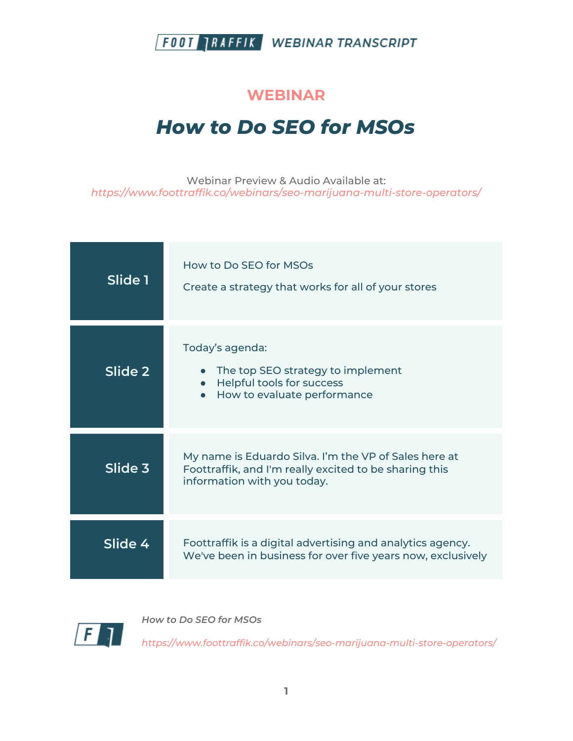

#### **WEBINAR**

# *How to Do SEO for MSOs*

Webinar Preview & Audio Available at: *https://www.foottraffik.co/webinars/seo-marijuana-multi-store-operators/*

| Slide 1 | How to Do SEO for MSOs<br>Create a strategy that works for all of your stores                                                                  |
|---------|------------------------------------------------------------------------------------------------------------------------------------------------|
| Slide 2 | Today's agenda:<br>The top SEO strategy to implement<br>Helpful tools for success<br>$\bullet$<br>How to evaluate performance                  |
| Slide 3 | My name is Eduardo Silva. I'm the VP of Sales here at<br>Foottraffik, and I'm really excited to be sharing this<br>information with you today. |
| Slide 4 | Foottraffik is a digital advertising and analytics agency.<br>We've been in business for over five years now, exclusively                      |



*How to Do SEO for MSOs*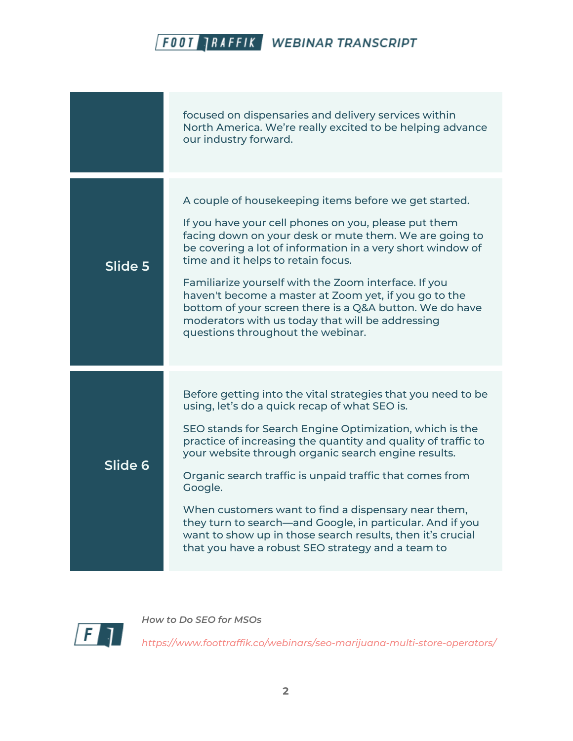|         | focused on dispensaries and delivery services within<br>North America. We're really excited to be helping advance<br>our industry forward.                                                                                                                                                                                                                                                                                                                                                                                                                                                                     |
|---------|----------------------------------------------------------------------------------------------------------------------------------------------------------------------------------------------------------------------------------------------------------------------------------------------------------------------------------------------------------------------------------------------------------------------------------------------------------------------------------------------------------------------------------------------------------------------------------------------------------------|
| Slide 5 | A couple of housekeeping items before we get started.<br>If you have your cell phones on you, please put them<br>facing down on your desk or mute them. We are going to<br>be covering a lot of information in a very short window of<br>time and it helps to retain focus.<br>Familiarize yourself with the Zoom interface. If you<br>haven't become a master at Zoom yet, if you go to the<br>bottom of your screen there is a Q&A button. We do have<br>moderators with us today that will be addressing<br>questions throughout the webinar.                                                               |
| Slide 6 | Before getting into the vital strategies that you need to be<br>using, let's do a quick recap of what SEO is.<br>SEO stands for Search Engine Optimization, which is the<br>practice of increasing the quantity and quality of traffic to<br>your website through organic search engine results.<br>Organic search traffic is unpaid traffic that comes from<br>Google.<br>When customers want to find a dispensary near them,<br>they turn to search—and Google, in particular. And if you<br>want to show up in those search results, then it's crucial<br>that you have a robust SEO strategy and a team to |



*How to Do SEO for MSOs*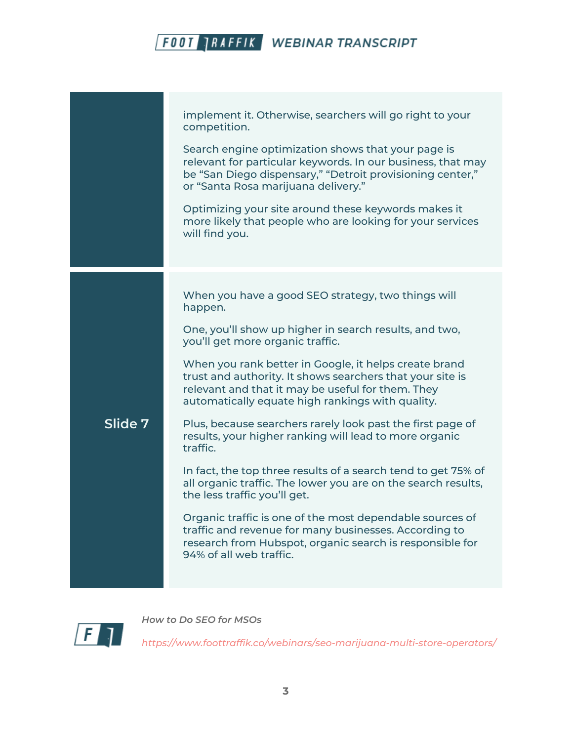|         | implement it. Otherwise, searchers will go right to your<br>competition.<br>Search engine optimization shows that your page is                                                                                              |
|---------|-----------------------------------------------------------------------------------------------------------------------------------------------------------------------------------------------------------------------------|
|         | relevant for particular keywords. In our business, that may<br>be "San Diego dispensary," "Detroit provisioning center,"<br>or "Santa Rosa marijuana delivery."                                                             |
|         | Optimizing your site around these keywords makes it<br>more likely that people who are looking for your services<br>will find you.                                                                                          |
|         | When you have a good SEO strategy, two things will                                                                                                                                                                          |
|         | happen.<br>One, you'll show up higher in search results, and two,<br>you'll get more organic traffic.                                                                                                                       |
|         | When you rank better in Google, it helps create brand<br>trust and authority. It shows searchers that your site is<br>relevant and that it may be useful for them. They<br>automatically equate high rankings with quality. |
| Slide 7 | Plus, because searchers rarely look past the first page of<br>results, your higher ranking will lead to more organic<br>traffic.                                                                                            |
|         | In fact, the top three results of a search tend to get 75% of<br>all organic traffic. The lower you are on the search results,<br>the less traffic you'll get.                                                              |
|         | Organic traffic is one of the most dependable sources of<br>traffic and revenue for many businesses. According to<br>research from Hubspot, organic search is responsible for<br>94% of all web traffic.                    |
|         |                                                                                                                                                                                                                             |



*How to Do SEO for MSOs*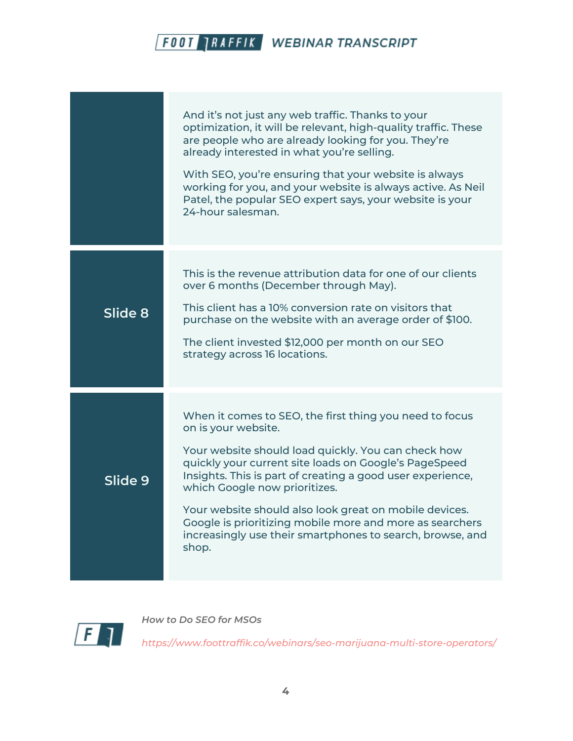|         | And it's not just any web traffic. Thanks to your<br>optimization, it will be relevant, high-quality traffic. These<br>are people who are already looking for you. They're<br>already interested in what you're selling.<br>With SEO, you're ensuring that your website is always<br>working for you, and your website is always active. As Neil<br>Patel, the popular SEO expert says, your website is your<br>24-hour salesman.                                                         |
|---------|-------------------------------------------------------------------------------------------------------------------------------------------------------------------------------------------------------------------------------------------------------------------------------------------------------------------------------------------------------------------------------------------------------------------------------------------------------------------------------------------|
| Slide 8 | This is the revenue attribution data for one of our clients<br>over 6 months (December through May).<br>This client has a 10% conversion rate on visitors that<br>purchase on the website with an average order of \$100.<br>The client invested \$12,000 per month on our SEO<br>strategy across 16 locations.                                                                                                                                                                           |
| Slide 9 | When it comes to SEO, the first thing you need to focus<br>on is your website.<br>Your website should load quickly. You can check how<br>quickly your current site loads on Google's PageSpeed<br>Insights. This is part of creating a good user experience,<br>which Google now prioritizes.<br>Your website should also look great on mobile devices.<br>Google is prioritizing mobile more and more as searchers<br>increasingly use their smartphones to search, browse, and<br>shop. |



*How to Do SEO for MSOs*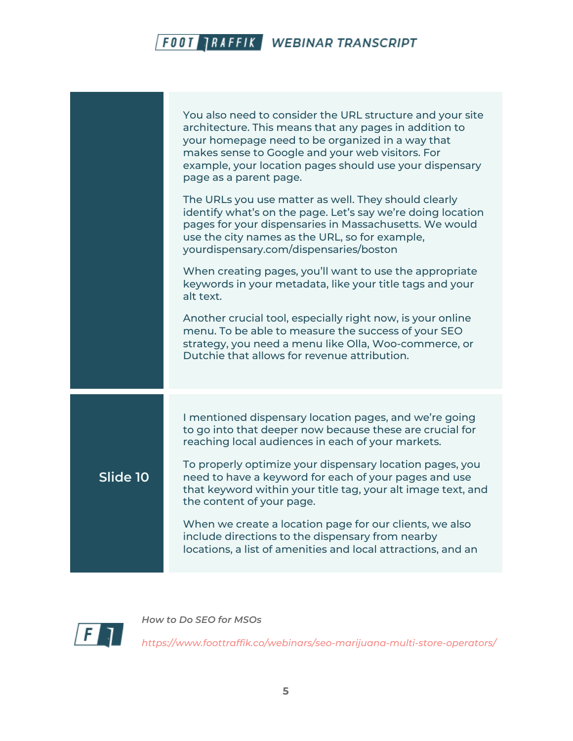|          | You also need to consider the URL structure and your site<br>architecture. This means that any pages in addition to<br>your homepage need to be organized in a way that<br>makes sense to Google and your web visitors. For<br>example, your location pages should use your dispensary<br>page as a parent page. |
|----------|------------------------------------------------------------------------------------------------------------------------------------------------------------------------------------------------------------------------------------------------------------------------------------------------------------------|
|          | The URLs you use matter as well. They should clearly<br>identify what's on the page. Let's say we're doing location<br>pages for your dispensaries in Massachusetts. We would<br>use the city names as the URL, so for example,<br>yourdispensary.com/dispensaries/boston                                        |
|          | When creating pages, you'll want to use the appropriate<br>keywords in your metadata, like your title tags and your<br>alt text.                                                                                                                                                                                 |
|          | Another crucial tool, especially right now, is your online<br>menu. To be able to measure the success of your SEO<br>strategy, you need a menu like Olla, Woo-commerce, or<br>Dutchie that allows for revenue attribution.                                                                                       |
|          | I mentioned dispensary location pages, and we're going<br>to go into that deeper now because these are crucial for<br>reaching local audiences in each of your markets.                                                                                                                                          |
| Slide 10 | To properly optimize your dispensary location pages, you<br>need to have a keyword for each of your pages and use<br>that keyword within your title tag, your alt image text, and<br>the content of your page.                                                                                                   |
|          | When we create a location page for our clients, we also<br>include directions to the dispensary from nearby<br>locations, a list of amenities and local attractions, and an                                                                                                                                      |



*How to Do SEO for MSOs*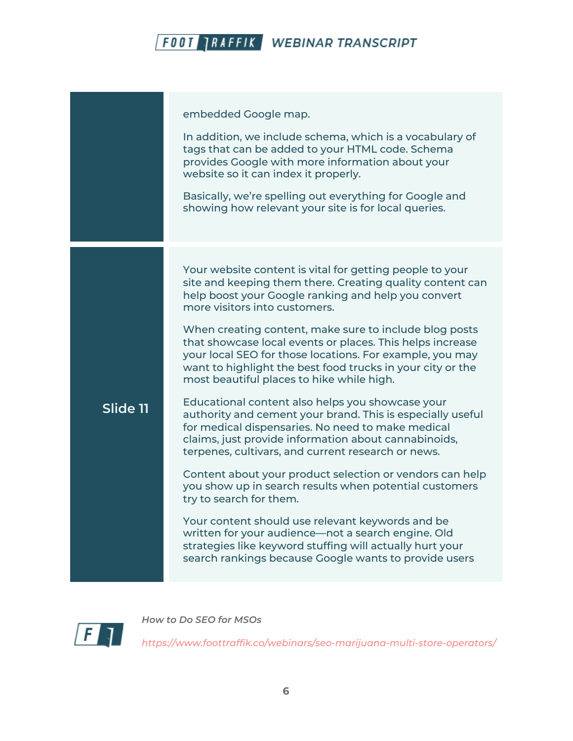| embedded Google map.<br>In addition, we include schema, which is a vocabulary of<br>tags that can be added to your HTML code. Schema<br>provides Google with more information about your<br>website so it can index it properly.<br>Basically, we're spelling out everything for Google and<br>showing how relevant your site is for local queries.<br>Your website content is vital for getting people to your<br>site and keeping them there. Creating quality content can<br>help boost your Google ranking and help you convert<br>more visitors into customers.<br>When creating content, make sure to include blog posts<br>that showcase local events or places. This helps increase<br>your local SEO for those locations. For example, you may<br>want to highlight the best food trucks in your city or the<br>most beautiful places to hike while high.<br>Educational content also helps you showcase your<br>Slide 11<br>authority and cement your brand. This is especially useful<br>for medical dispensaries. No need to make medical<br>claims, just provide information about cannabinoids,<br>terpenes, cultivars, and current research or news.<br>Content about your product selection or vendors can help<br>you show up in search results when potential customers<br>try to search for them.<br>Your content should use relevant keywords and be<br>written for your audience-not a search engine. Old<br>strategies like keyword stuffing will actually hurt your<br>search rankings because Google wants to provide users |  |
|-----------------------------------------------------------------------------------------------------------------------------------------------------------------------------------------------------------------------------------------------------------------------------------------------------------------------------------------------------------------------------------------------------------------------------------------------------------------------------------------------------------------------------------------------------------------------------------------------------------------------------------------------------------------------------------------------------------------------------------------------------------------------------------------------------------------------------------------------------------------------------------------------------------------------------------------------------------------------------------------------------------------------------------------------------------------------------------------------------------------------------------------------------------------------------------------------------------------------------------------------------------------------------------------------------------------------------------------------------------------------------------------------------------------------------------------------------------------------------------------------------------------------------------------------------|--|
|                                                                                                                                                                                                                                                                                                                                                                                                                                                                                                                                                                                                                                                                                                                                                                                                                                                                                                                                                                                                                                                                                                                                                                                                                                                                                                                                                                                                                                                                                                                                                     |  |
|                                                                                                                                                                                                                                                                                                                                                                                                                                                                                                                                                                                                                                                                                                                                                                                                                                                                                                                                                                                                                                                                                                                                                                                                                                                                                                                                                                                                                                                                                                                                                     |  |



*How to Do SEO for MSOs*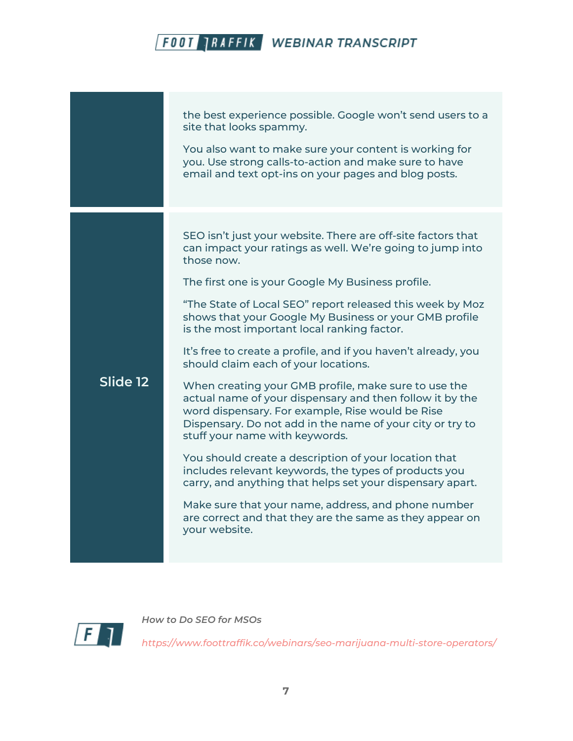the best experience possible. Google won't send users to a site that looks spammy. You also want to make sure your content is working for you. Use strong calls-to-action and make sure to have email and text opt-ins on your pages and blog posts. **Slide 12** SEO isn't just your website. There are off-site factors that can impact your ratings as well. We're going to jump into those now. The first one is your Google My Business profile. "The State of Local SEO" report released this week by Moz shows that your Google My Business or your GMB profile is the most important local ranking factor. It's free to create a profile, and if you haven't already, you should claim each of your locations. When creating your GMB profile, make sure to use the actual name of your dispensary and then follow it by the word dispensary. For example, Rise would be Rise Dispensary. Do not add in the name of your city or try to stuff your name with keywords. You should create a description of your location that includes relevant keywords, the types of products you carry, and anything that helps set your dispensary apart. Make sure that your name, address, and phone number are correct and that they are the same as they appear on your website.



*How to Do SEO for MSOs*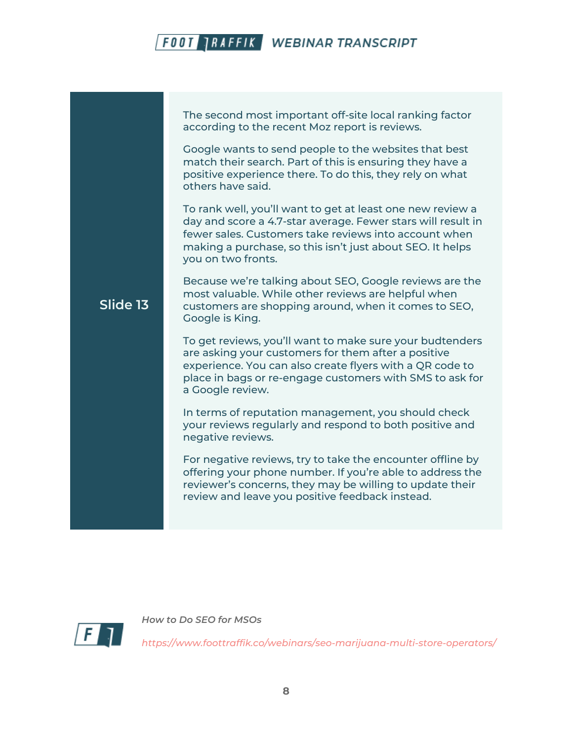The second most important off-site local ranking factor according to the recent Moz report is reviews.

Google wants to send people to the websites that best match their search. Part of this is ensuring they have a positive experience there. To do this, they rely on what others have said.

To rank well, you'll want to get at least one new review a day and score a 4.7-star average. Fewer stars will result in fewer sales. Customers take reviews into account when making a purchase, so this isn't just about SEO. It helps you on two fronts.

Because we're talking about SEO, Google reviews are the most valuable. While other reviews are helpful when customers are shopping around, when it comes to SEO, Google is King.

To get reviews, you'll want to make sure your budtenders are asking your customers for them after a positive experience. You can also create flyers with a QR code to place in bags or re-engage customers with SMS to ask for a Google review.

In terms of reputation management, you should check your reviews regularly and respond to both positive and negative reviews.

For negative reviews, try to take the encounter offline by offering your phone number. If you're able to address the reviewer's concerns, they may be willing to update their review and leave you positive feedback instead.



**Slide 13**

*How to Do SEO for MSOs*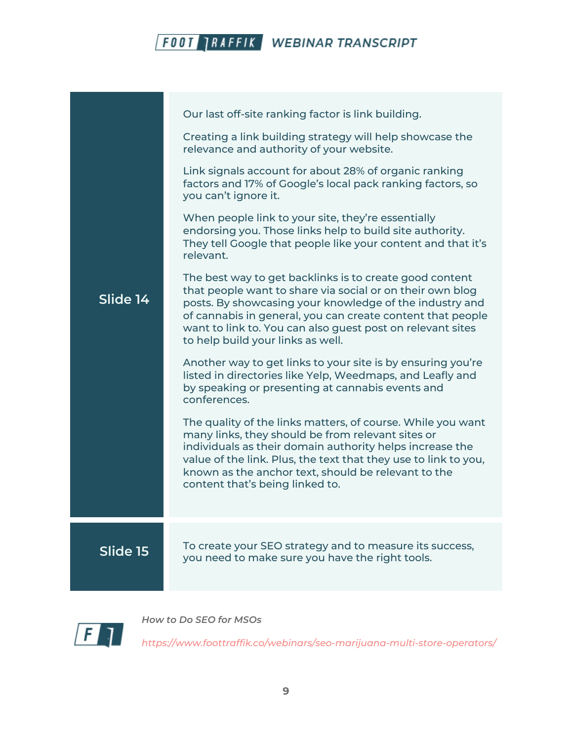|          | Our last off-site ranking factor is link building.                                                                                                                                                                                                                                                                                               |
|----------|--------------------------------------------------------------------------------------------------------------------------------------------------------------------------------------------------------------------------------------------------------------------------------------------------------------------------------------------------|
|          | Creating a link building strategy will help showcase the<br>relevance and authority of your website.                                                                                                                                                                                                                                             |
|          | Link signals account for about 28% of organic ranking<br>factors and 17% of Google's local pack ranking factors, so<br>you can't ignore it.                                                                                                                                                                                                      |
|          | When people link to your site, they're essentially<br>endorsing you. Those links help to build site authority.<br>They tell Google that people like your content and that it's<br>relevant.                                                                                                                                                      |
| Slide 14 | The best way to get backlinks is to create good content<br>that people want to share via social or on their own blog<br>posts. By showcasing your knowledge of the industry and<br>of cannabis in general, you can create content that people<br>want to link to. You can also guest post on relevant sites<br>to help build your links as well. |
|          | Another way to get links to your site is by ensuring you're<br>listed in directories like Yelp, Weedmaps, and Leafly and<br>by speaking or presenting at cannabis events and<br>conferences.                                                                                                                                                     |
|          | The quality of the links matters, of course. While you want<br>many links, they should be from relevant sites or<br>individuals as their domain authority helps increase the<br>value of the link. Plus, the text that they use to link to you,<br>known as the anchor text, should be relevant to the<br>content that's being linked to.        |
| Slide 15 | To create your SEO strategy and to measure its success,<br>you need to make sure you have the right tools.                                                                                                                                                                                                                                       |



*How to Do SEO for MSOs*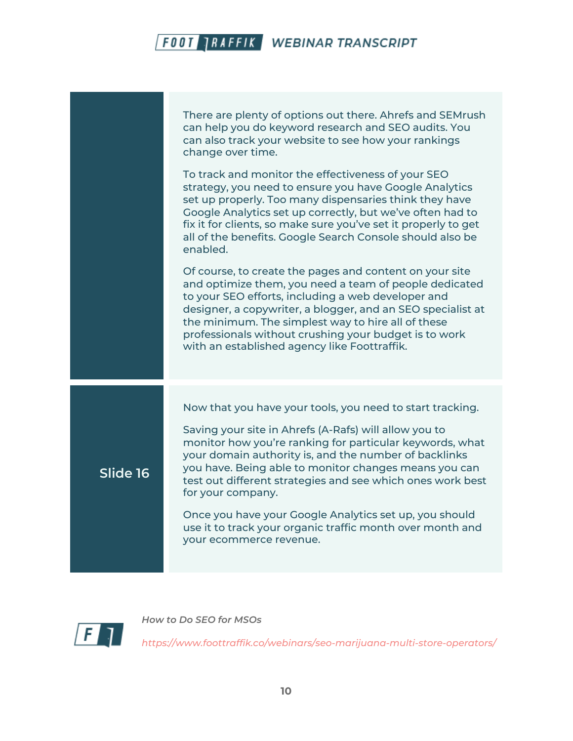There are plenty of options out there. Ahrefs and SEMrush can help you do keyword research and SEO audits. You can also track your website to see how your rankings change over time.

To track and monitor the effectiveness of your SEO strategy, you need to ensure you have Google Analytics set up properly. Too many dispensaries think they have Google Analytics set up correctly, but we've often had to fix it for clients, so make sure you've set it properly to get all of the benefits. Google Search Console should also be enabled.

Of course, to create the pages and content on your site and optimize them, you need a team of people dedicated to your SEO efforts, including a web developer and designer, a copywriter, a blogger, and an SEO specialist at the minimum. The simplest way to hire all of these professionals without crushing your budget is to work with an established agency like Foottraffik.

Now that you have your tools, you need to start tracking.

Saving your site in Ahrefs (A-Rafs) will allow you to monitor how you're ranking for particular keywords, what your domain authority is, and the number of backlinks you have. Being able to monitor changes means you can test out different strategies and see which ones work best for your company.

Once you have your Google Analytics set up, you should use it to track your organic traffic month over month and your ecommerce revenue.



**Slide 16**

*How to Do SEO for MSOs*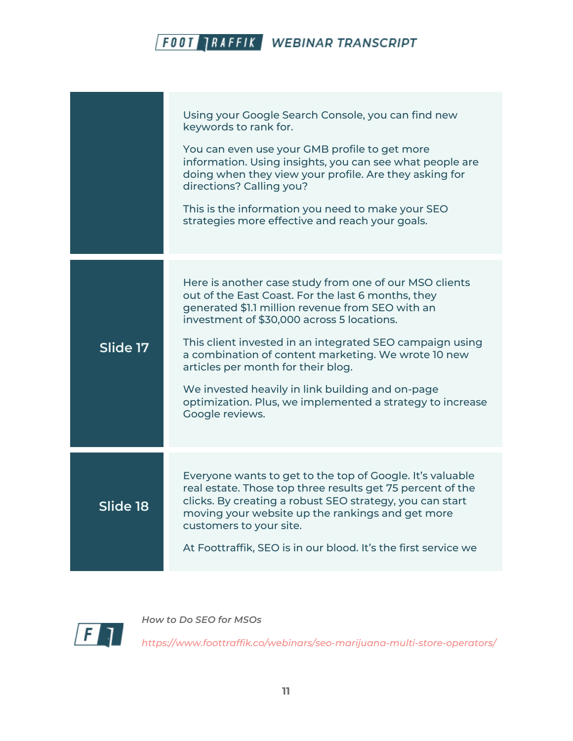|          | Using your Google Search Console, you can find new<br>keywords to rank for.<br>You can even use your GMB profile to get more<br>information. Using insights, you can see what people are<br>doing when they view your profile. Are they asking for<br>directions? Calling you?<br>This is the information you need to make your SEO<br>strategies more effective and reach your goals.                                                                                                                      |
|----------|-------------------------------------------------------------------------------------------------------------------------------------------------------------------------------------------------------------------------------------------------------------------------------------------------------------------------------------------------------------------------------------------------------------------------------------------------------------------------------------------------------------|
| Slide 17 | Here is another case study from one of our MSO clients<br>out of the East Coast. For the last 6 months, they<br>generated \$1.1 million revenue from SEO with an<br>investment of \$30,000 across 5 locations.<br>This client invested in an integrated SEO campaign using<br>a combination of content marketing. We wrote 10 new<br>articles per month for their blog.<br>We invested heavily in link building and on-page<br>optimization. Plus, we implemented a strategy to increase<br>Google reviews. |
| Slide 18 | Everyone wants to get to the top of Google. It's valuable<br>real estate. Those top three results get 75 percent of the<br>clicks. By creating a robust SEO strategy, you can start<br>moving your website up the rankings and get more<br>customers to your site.<br>At Foottraffik, SEO is in our blood. It's the first service we                                                                                                                                                                        |



*How to Do SEO for MSOs*